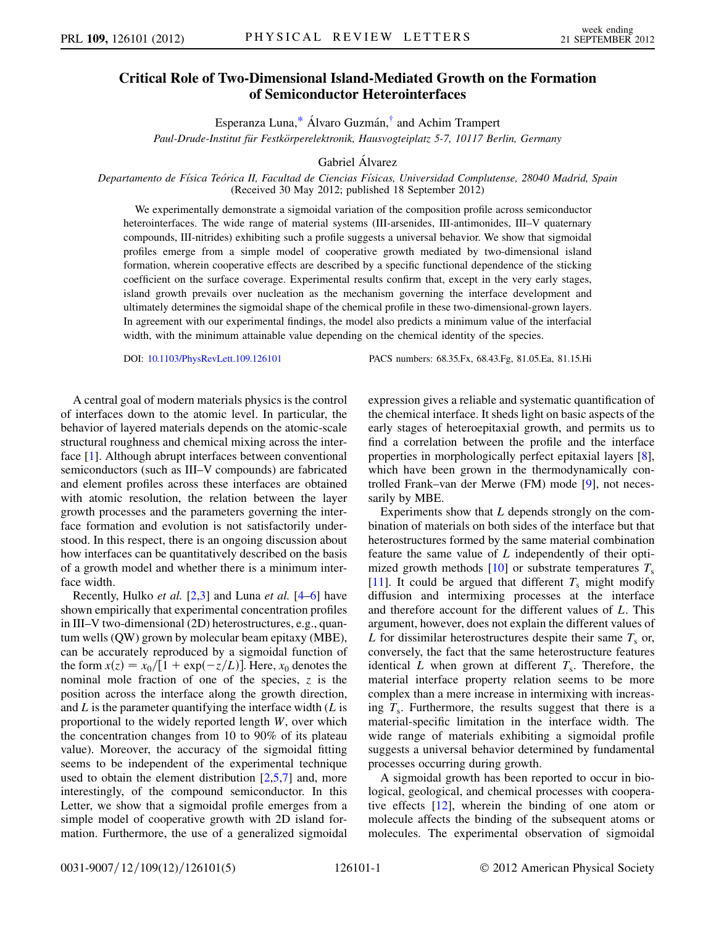## <span id="page-0-0"></span>Critical Role of Two-Dimensional Island-Mediated Growth on the Formation of Semiconductor Heterointerfaces

Esperanza Luna, $*$  Álvaro Guzmán, $*$  and Achim Trampert

Paul-Drude-Institut für Festkörperelektronik, Hausvogteiplatz 5-7, 10117 Berlin, Germany

Gabriel Álvarez

Departamento de Física Teórica II, Facultad de Ciencias Físicas, Universidad Complutense, 28040 Madrid, Spain (Received 30 May 2012; published 18 September 2012)

We experimentally demonstrate a sigmoidal variation of the composition profile across semiconductor heterointerfaces. The wide range of material systems (III-arsenides, III-antimonides, III-V quaternary compounds, III-nitrides) exhibiting such a profile suggests a universal behavior. We show that sigmoidal profiles emerge from a simple model of cooperative growth mediated by two-dimensional island formation, wherein cooperative effects are described by a specific functional dependence of the sticking coefficient on the surface coverage. Experimental results confirm that, except in the very early stages, island growth prevails over nucleation as the mechanism governing the interface development and ultimately determines the sigmoidal shape of the chemical profile in these two-dimensional-grown layers. In agreement with our experimental findings, the model also predicts a minimum value of the interfacial width, with the minimum attainable value depending on the chemical identity of the species.

DOI: [10.1103/PhysRevLett.109.126101](http://dx.doi.org/10.1103/PhysRevLett.109.126101) PACS numbers: 68.35.Fx, 68.43.Fg, 81.05.Ea, 81.15.Hi

A central goal of modern materials physics is the control of interfaces down to the atomic level. In particular, the behavior of layered materials depends on the atomic-scale structural roughness and chemical mixing across the interface [[1](#page-4-2)]. Although abrupt interfaces between conventional semiconductors (such as III–V compounds) are fabricated and element profiles across these interfaces are obtained with atomic resolution, the relation between the layer growth processes and the parameters governing the interface formation and evolution is not satisfactorily understood. In this respect, there is an ongoing discussion about how interfaces can be quantitatively described on the basis of a growth model and whether there is a minimum interface width.

Recently, Hulko et al. [\[2](#page-4-3),[3](#page-4-4)] and Luna et al. [[4](#page-4-5)[–6\]](#page-4-6) have shown empirically that experimental concentration profiles in III–V two-dimensional (2D) heterostructures, e.g., quantum wells (QW) grown by molecular beam epitaxy (MBE), can be accurately reproduced by a sigmoidal function of the form  $x(z) = x_0/[1 + \exp(-z/L)]$ . Here,  $x_0$  denotes the nominal mole fraction of one of the species z is the nominal mole fraction of one of the species,  $z$  is the position across the interface along the growth direction, and  $L$  is the parameter quantifying the interface width  $(L$  is proportional to the widely reported length W, over which the concentration changes from 10 to 90% of its plateau value). Moreover, the accuracy of the sigmoidal fitting seems to be independent of the experimental technique used to obtain the element distribution  $[2,5,7]$  $[2,5,7]$  $[2,5,7]$  $[2,5,7]$  $[2,5,7]$  and, more interestingly, of the compound semiconductor. In this Letter, we show that a sigmoidal profile emerges from a simple model of cooperative growth with 2D island formation. Furthermore, the use of a generalized sigmoidal expression gives a reliable and systematic quantification of the chemical interface. It sheds light on basic aspects of the early stages of heteroepitaxial growth, and permits us to find a correlation between the profile and the interface properties in morphologically perfect epitaxial layers [[8\]](#page-4-9), which have been grown in the thermodynamically controlled Frank–van der Merwe (FM) mode [\[9](#page-4-10)], not necessarily by MBE.

Experiments show that L depends strongly on the combination of materials on both sides of the interface but that heterostructures formed by the same material combination feature the same value of L independently of their opti-mized growth methods [[10](#page-4-11)] or substrate temperatures  $T_s$ [\[11\]](#page-4-12). It could be argued that different  $T_s$  might modify diffusion and intermixing processes at the interface and therefore account for the different values of L. This argument, however, does not explain the different values of L for dissimilar heterostructures despite their same  $T_s$  or, conversely, the fact that the same heterostructure features identical L when grown at different  $T_s$ . Therefore, the material interface property relation seems to be more complex than a mere increase in intermixing with increasing  $T_s$ . Furthermore, the results suggest that there is a material-specific limitation in the interface width. The wide range of materials exhibiting a sigmoidal profile suggests a universal behavior determined by fundamental processes occurring during growth.

A sigmoidal growth has been reported to occur in biological, geological, and chemical processes with cooperative effects [[12](#page-4-13)], wherein the binding of one atom or molecule affects the binding of the subsequent atoms or molecules. The experimental observation of sigmoidal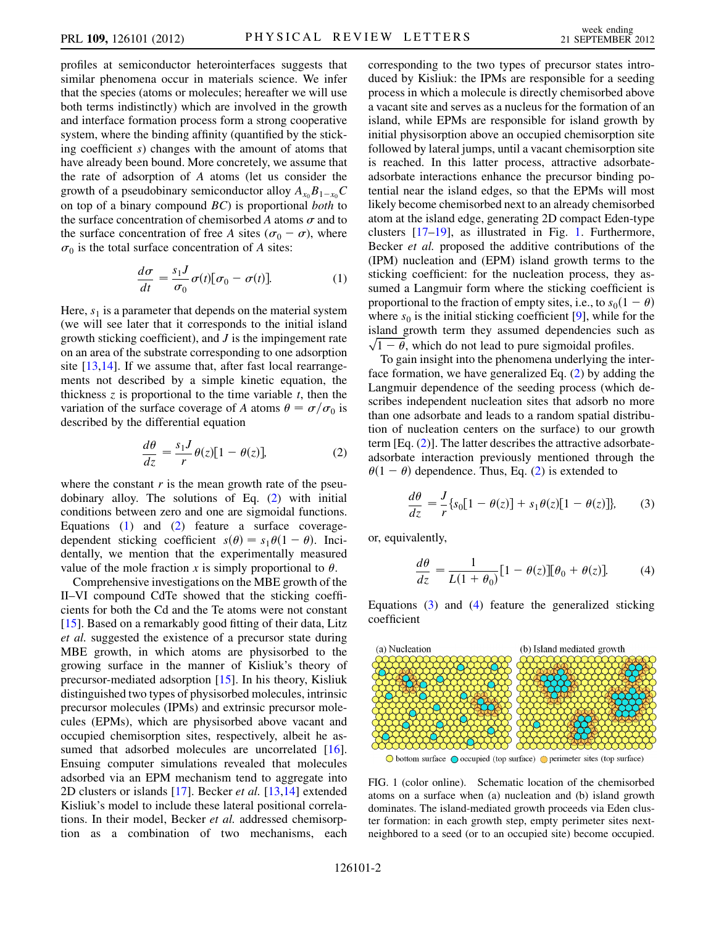profiles at semiconductor heterointerfaces suggests that similar phenomena occur in materials science. We infer that the species (atoms or molecules; hereafter we will use both terms indistinctly) which are involved in the growth and interface formation process form a strong cooperative system, where the binding affinity (quantified by the sticking coefficient s) changes with the amount of atoms that have already been bound. More concretely, we assume that the rate of adsorption of A atoms (let us consider the growth of a pseudobinary semiconductor alloy  $A_{x_0}B_{1-x_0}C$ on top of a binary compound  $BC$ ) is proportional both to the surface concentration of chemisorbed A atoms  $\sigma$  and to the surface concentration of free A sites ( $\sigma_0 - \sigma$ ), where  $\sigma_0$  is the total surface concentration of A sites:

$$
\frac{d\sigma}{dt} = \frac{s_1 J}{\sigma_0} \sigma(t) [\sigma_0 - \sigma(t)]. \tag{1}
$$

<span id="page-1-1"></span>Here,  $s_1$  is a parameter that depends on the material system (we will see later that it corresponds to the initial island growth sticking coefficient), and  $J$  is the impingement rate on an area of the substrate corresponding to one adsorption site  $[13,14]$  $[13,14]$  $[13,14]$ . If we assume that, after fast local rearrangements not described by a simple kinetic equation, the thickness  $\zeta$  is proportional to the time variable  $t$ , then the variation of the surface coverage of A atoms  $\theta = \sigma / \sigma_0$  is described by the differential equation described by the differential equation

$$
\frac{d\theta}{dz} = \frac{s_1 J}{r} \theta(z) [1 - \theta(z)], \tag{2}
$$

<span id="page-1-0"></span>where the constant  $r$  is the mean growth rate of the pseudobinary alloy. The solutions of Eq. [\(2](#page-1-0)) with initial conditions between zero and one are sigmoidal functions. Equations ([1\)](#page-1-1) and ([2\)](#page-1-0) feature a surface coveragedependent sticking coefficient  $s(\theta) = s_1 \theta(1 - \theta)$ . Incidentally we mention that the experimentally measured dentally, we mention that the experimentally measured value of the mole fraction x is simply proportional to  $\theta$ .

Comprehensive investigations on the MBE growth of the II–VI compound CdTe showed that the sticking coefficients for both the Cd and the Te atoms were not constant [\[15\]](#page-4-16). Based on a remarkably good fitting of their data, Litz et al. suggested the existence of a precursor state during MBE growth, in which atoms are physisorbed to the growing surface in the manner of Kisliuk's theory of precursor-mediated adsorption [\[15\]](#page-4-16). In his theory, Kisliuk distinguished two types of physisorbed molecules, intrinsic precursor molecules (IPMs) and extrinsic precursor molecules (EPMs), which are physisorbed above vacant and occupied chemisorption sites, respectively, albeit he as-sumed that adsorbed molecules are uncorrelated [\[16\]](#page-4-17). Ensuing computer simulations revealed that molecules adsorbed via an EPM mechanism tend to aggregate into 2D clusters or islands  $[17]$  $[17]$  $[17]$ . Becker *et al.*  $[13,14]$  $[13,14]$  extended Kisliuk's model to include these lateral positional correlations. In their model, Becker et al. addressed chemisorption as a combination of two mechanisms, each corresponding to the two types of precursor states introduced by Kisliuk: the IPMs are responsible for a seeding process in which a molecule is directly chemisorbed above a vacant site and serves as a nucleus for the formation of an island, while EPMs are responsible for island growth by initial physisorption above an occupied chemisorption site followed by lateral jumps, until a vacant chemisorption site is reached. In this latter process, attractive adsorbateadsorbate interactions enhance the precursor binding potential near the island edges, so that the EPMs will most likely become chemisorbed next to an already chemisorbed atom at the island edge, generating 2D compact Eden-type clusters [\[17–](#page-4-18)[19](#page-4-19)], as illustrated in Fig. [1.](#page-1-2) Furthermore, Becker et al. proposed the additive contributions of the (IPM) nucleation and (EPM) island growth terms to the sticking coefficient: for the nucleation process, they assumed a Langmuir form where the sticking coefficient is proportional to the fraction of empty sites, i.e., to  $s_0(1 - \theta)$ where  $s_0$  is the initial sticking coefficient [[9\]](#page-4-10), while for the island growth term they assumed dependencies such as  $\sqrt{1-\theta}$ , which do not lead to pure sigmoidal profiles.<br>To gain insight into the phenomena underlying the in-

To gain insight into the phenomena underlying the interface formation, we have generalized Eq. [\(2](#page-1-0)) by adding the Langmuir dependence of the seeding process (which describes independent nucleation sites that adsorb no more than one adsorbate and leads to a random spatial distribution of nucleation centers on the surface) to our growth term [Eq. ([2](#page-1-0))]. The latter describes the attractive adsorbateadsorbate interaction previously mentioned through the  $\theta(1 - \theta)$  dependence. Thus, Eq. ([2\)](#page-1-0) is extended to

<span id="page-1-3"></span>
$$
\frac{d\theta}{dz} = \frac{J}{r} \{ s_0 [1 - \theta(z)] + s_1 \theta(z) [1 - \theta(z)] \},\tag{3}
$$

<span id="page-1-4"></span>or, equivalently,

$$
\frac{d\theta}{dz} = \frac{1}{L(1+\theta_0)} [1-\theta(z)][\theta_0+\theta(z)].
$$
 (4)

Equations [\(3](#page-1-3)) and ([4](#page-1-4)) feature the generalized sticking coefficient

<span id="page-1-2"></span>

 $\bigcirc$  bottom surface  $\bigcirc$  occupied (top surface)  $\bigcirc$  perimeter sites (top surface)

FIG. 1 (color online). Schematic location of the chemisorbed atoms on a surface when (a) nucleation and (b) island growth dominates. The island-mediated growth proceeds via Eden cluster formation: in each growth step, empty perimeter sites nextneighbored to a seed (or to an occupied site) become occupied.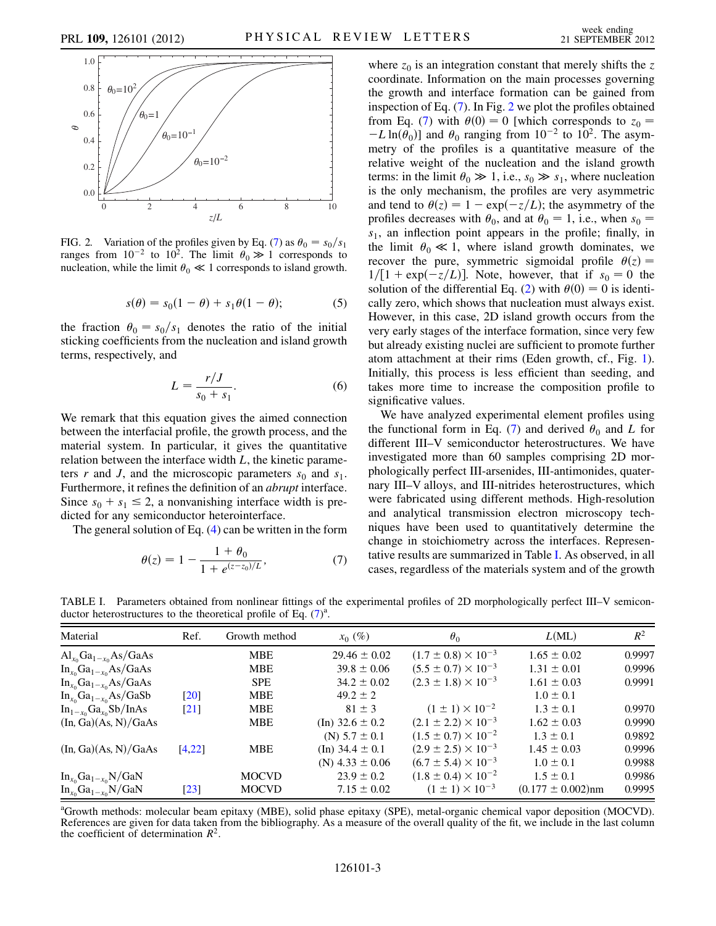<span id="page-2-1"></span>

FIG. 2. Variation of the profiles given by Eq. ([7\)](#page-2-0) as  $\theta_0 = s_0/s_1$ <br>ranges from  $10^{-2}$  to  $10^2$ . The limit  $\theta_0 \gg 1$  corresponds to ranges from  $10^{-2}$  to  $10^{2}$ . The limit  $\theta_0 \gg 1$  corresponds to nucleation while the limit  $\theta_0 \ll 1$  corresponds to island growth nucleation, while the limit  $\theta_0 \ll 1$  corresponds to island growth.

$$
s(\theta) = s_0(1 - \theta) + s_1\theta(1 - \theta); \tag{5}
$$

<span id="page-2-3"></span>the fraction  $\theta_0 = s_0/s_1$  denotes the ratio of the initial<br>sticking coefficients from the nucleation and island growth sticking coefficients from the nucleation and island growth terms, respectively, and

$$
L = \frac{r/J}{s_0 + s_1}.\tag{6}
$$

We remark that this equation gives the aimed connection between the interfacial profile, the growth process, and the material system. In particular, it gives the quantitative relation between the interface width  $L$ , the kinetic parameters r and J, and the microscopic parameters  $s_0$  and  $s_1$ . Furthermore, it refines the definition of an abrupt interface. Since  $s_0 + s_1 \le 2$ , a nonvanishing interface width is predicted for any semiconductor heterointerface.

<span id="page-2-0"></span>The general solution of Eq. [\(4\)](#page-1-4) can be written in the form

$$
\theta(z) = 1 - \frac{1 + \theta_0}{1 + e^{(z - z_0)/L}},\tag{7}
$$

where  $z_0$  is an integration constant that merely shifts the z coordinate. Information on the main processes governing the growth and interface formation can be gained from inspection of Eq. [\(7\)](#page-2-0). In Fig. [2](#page-2-1) we plot the profiles obtained from Eq. ([7\)](#page-2-0) with  $\theta(0) = 0$  [which corresponds to  $z_0 = -I \ln(\theta_0)$ ] and  $\theta_0$  ranging from  $10^{-2}$  to  $10^2$ . The asym- $-L \ln(\theta_0)$  and  $\theta_0$  ranging from  $10^{-2}$  to  $10^2$ . The asymmetry of the profiles is a quantitative measure of the metry of the profiles is a quantitative measure of the relative weight of the nucleation and the island growth terms: in the limit  $\theta_0 \gg 1$ , i.e.,  $s_0 \gg s_1$ , where nucleation<br>is the only mechanism, the profiles are very asymmetric is the only mechanism, the profiles are very asymmetric and tend to  $\theta(z) = 1 - \exp(-z/L)$ ; the asymmetry of the profiles decreases with  $\theta_0$  and at  $\theta_0 = 1$  i.e. when  $s_0 =$ profiles decreases with  $\theta_0$ , and at  $\theta_0 = 1$ , i.e., when  $s_0 = s_1$ , an inflection point appears in the profile: finally in  $s<sub>1</sub>$ , an inflection point appears in the profile; finally, in the limit  $\theta_0 \ll 1$ , where island growth dominates, we<br>recover the pure symmetric sigmoidal profile  $\theta(z)$ recover the pure, symmetric sigmoidal profile  $\theta(z) = 1/[1 + \exp(-z/L)]$ . Note however that if  $s_0 = 0$  the  $1/[1 + \exp(-z/L)]$ . Note, however, that if  $s_0 = 0$  the solution of the differential Eq. (2) with  $\theta(0) = 0$  is identi-solution of the differential Eq. [\(2](#page-1-0)) with  $\theta(0) = 0$  is identically zero, which shows that nucleation must always exist cally zero, which shows that nucleation must always exist. However, in this case, 2D island growth occurs from the very early stages of the interface formation, since very few but already existing nuclei are sufficient to promote further atom attachment at their rims (Eden growth, cf., Fig. [1\)](#page-1-2). Initially, this process is less efficient than seeding, and takes more time to increase the composition profile to significative values.

We have analyzed experimental element profiles using the functional form in Eq. ([7](#page-2-0)) and derived  $\theta_0$  and L for different III–V semiconductor heterostructures. We have investigated more than 60 samples comprising 2D morphologically perfect III-arsenides, III-antimonides, quaternary III–V alloys, and III-nitrides heterostructures, which were fabricated using different methods. High-resolution and analytical transmission electron microscopy techniques have been used to quantitatively determine the change in stoichiometry across the interfaces. Representative results are summarized in Table [I.](#page-2-2) As observed, in all cases, regardless of the materials system and of the growth

<span id="page-2-2"></span>TABLE I. Parameters obtained from nonlinear fittings of the experimental profiles of 2D morphologically perfect III–V semiconductor heterostructures to the theoretical profile of Eq.  $(7)^{a}$  $(7)^{a}$  $(7)^{a}$ .

| Material                                                | Ref.               | Growth method | $x_0(\%)$             | $\theta_0$                     | L(ML)                  | $R^2$  |
|---------------------------------------------------------|--------------------|---------------|-----------------------|--------------------------------|------------------------|--------|
| $\text{Al}_{x_0}\text{Ga}_{1-x_0}\text{As}/\text{GaAs}$ |                    | <b>MBE</b>    | $29.46 \pm 0.02$      | $(1.7 \pm 0.8) \times 10^{-3}$ | $1.65 \pm 0.02$        | 0.9997 |
| $In_{x_0}Ga_{1-x_0}As/GaAs$                             |                    | <b>MBE</b>    | $39.8 \pm 0.06$       | $(5.5 \pm 0.7) \times 10^{-3}$ | $1.31 \pm 0.01$        | 0.9996 |
| $In_{x_0}Ga_{1-x_0}As/GaAs$                             |                    | <b>SPE</b>    | $34.2 \pm 0.02$       | $(2.3 \pm 1.8) \times 10^{-3}$ | $1.61 \pm 0.03$        | 0.9991 |
| $In_{x_0}Ga_{1-x_0}As/GaSb$                             | $\lceil 20 \rceil$ | <b>MBE</b>    | $49.2 \pm 2$          |                                | $1.0 \pm 0.1$          |        |
| $In_{1-x_0}Ga_{x_0}Sb/InAs$                             | $\lceil 21 \rceil$ | <b>MBE</b>    | $81 \pm 3$            | $(1 \pm 1) \times 10^{-2}$     | $1.3 \pm 0.1$          | 0.9970 |
| (In, Ga)(As, N)/GaAs                                    |                    | <b>MBE</b>    | (In) $32.6 \pm 0.2$   | $(2.1 \pm 2.2) \times 10^{-3}$ | $1.62 \pm 0.03$        | 0.9990 |
|                                                         |                    |               | (N) $5.7 \pm 0.1$     | $(1.5 \pm 0.7) \times 10^{-2}$ | $1.3 \pm 0.1$          | 0.9892 |
| (In, Ga)(As, N)/GaAs                                    | [4, 22]            | <b>MBE</b>    | $(In)$ 34.4 $\pm$ 0.1 | $(2.9 \pm 2.5) \times 10^{-3}$ | $1.45 \pm 0.03$        | 0.9996 |
|                                                         |                    |               | (N) $4.33 \pm 0.06$   | $(6.7 \pm 5.4) \times 10^{-3}$ | $1.0 \pm 0.1$          | 0.9988 |
| $In_{x_0}Ga_{1-x_0}N/GaN$                               |                    | <b>MOCVD</b>  | $23.9 \pm 0.2$        | $(1.8 \pm 0.4) \times 10^{-2}$ | $1.5 \pm 0.1$          | 0.9986 |
| $In_{x_0}Ga_{1-x_0}N/GaN$                               | $\lceil 23 \rceil$ | <b>MOCVD</b>  | $7.15 \pm 0.02$       | $(1 \pm 1) \times 10^{-3}$     | $(0.177 \pm 0.002)$ nm | 0.9995 |

<sup>a</sup>Growth methods: molecular beam epitaxy (MBE), solid phase epitaxy (SPE), metal-organic chemical vapor deposition (MOCVD). References are given for data taken from the bibliography. As a measure of the overall quality of the fit, we include in the last column the coefficient of determination  $R^2$ .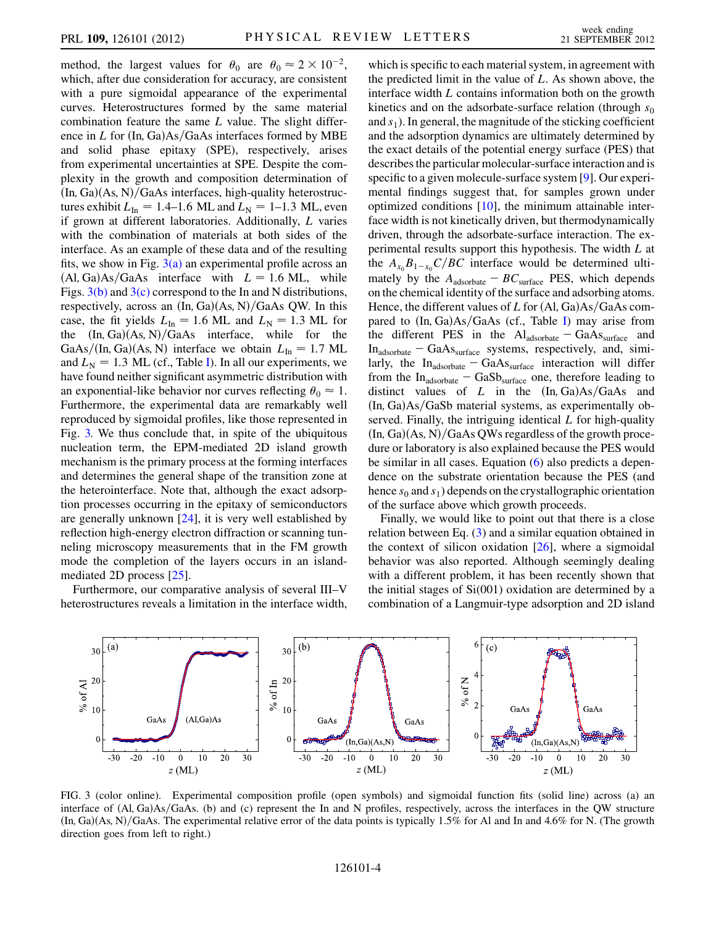method, the largest values for  $\theta_0$  are  $\theta_0 \approx 2 \times 10^{-2}$ ,<br>which after due consideration for accuracy are consistent which, after due consideration for accuracy, are consistent with a pure sigmoidal appearance of the experimental curves. Heterostructures formed by the same material combination feature the same  $L$  value. The slight difference in  $L$  for  $(In, Ga)As/GaAs$  interfaces formed by MBE and solid phase epitaxy (SPE), respectively, arises from experimental uncertainties at SPE. Despite the complexity in the growth and composition determination of  $(In, Ga)(As, N)/GaAs$  interfaces, high-quality heterostructures exhibit  $L_{\text{In}} = 1.4{\text -}1.6$  ML and  $L_{\text{N}} = 1{\text -}1.3$  ML, even if grown at different laboratories. Additionally, L varies with the combination of materials at both sides of the interface. As an example of these data and of the resulting fits, we show in Fig.  $3(a)$  an experimental profile across an  $(AI, Ga)As/GaAs$  interface with  $L = 1.6$  ML, while Figs.  $3(b)$  and  $3(c)$  correspond to the In and N distributions, respectively, across an  $(In, Ga)(As, N)/GaAs$  QW. In this case, the fit yields  $L_{\text{In}} = 1.6 \text{ ML}$  and  $L_{\text{N}} = 1.3 \text{ ML}$  for the  $(In, Ga)(As, N)/GaAs$  interface, while for the GaAs/(In, Ga)(As, N) interface we obtain  $L_{\text{In}} = 1.7 \text{ ML}$ and  $L<sub>N</sub> = 1.3$  ML (cf., Table [I\)](#page-2-2). In all our experiments, we have found neither significant asymmetric distribution with an exponential-like behavior nor curves reflecting  $\theta_0 \approx 1$ .<br>Furthermore, the experimental data are remarkably well Furthermore, the experimental data are remarkably well reproduced by sigmoidal profiles, like those represented in Fig. [3.](#page-3-1) We thus conclude that, in spite of the ubiquitous nucleation term, the EPM-mediated 2D island growth mechanism is the primary process at the forming interfaces and determines the general shape of the transition zone at the heterointerface. Note that, although the exact adsorption processes occurring in the epitaxy of semiconductors are generally unknown [\[24\]](#page-4-24), it is very well established by reflection high-energy electron diffraction or scanning tunneling microscopy measurements that in the FM growth mode the completion of the layers occurs in an islandmediated 2D process [\[25\]](#page-4-25).

Furthermore, our comparative analysis of several III–V heterostructures reveals a limitation in the interface width,

which is specific to each material system, in agreement with the predicted limit in the value of  $L$ . As shown above, the interface width L contains information both on the growth kinetics and on the adsorbate-surface relation (through  $s_0$ ) and  $s<sub>1</sub>$ ). In general, the magnitude of the sticking coefficient and the adsorption dynamics are ultimately determined by the exact details of the potential energy surface (PES) that describes the particular molecular-surface interaction and is specific to a given molecule-surface system [\[9](#page-4-10)]. Our experimental findings suggest that, for samples grown under optimized conditions  $[10]$ , the minimum attainable interface width is not kinetically driven, but thermodynamically driven, through the adsorbate-surface interaction. The experimental results support this hypothesis. The width L at the  $A_{x_0}B_{1-x_0}C/BC$  interface would be determined ultimately by the  $A_{\text{adsorbate}} - BC_{\text{surface}}$  PES, which depends on the chemical identity of the surface and adsorbing atoms. Hence, the different values of  $L$  for  $(Al, Ga)As/GaAs$  compared to  $(In, Ga)As/GaAs$  (cf., Table [I\)](#page-2-2) may arise from the different PES in the  $Al<sub>adsorbate</sub> - GaAs<sub>surface</sub>$  and In<sub>adsorbate</sub> - GaAs<sub>surface</sub> systems, respectively, and, similarly, the  $In<sub>adsorbate</sub> - GaAs<sub>surface</sub> interaction will differ$ from the  $In<sub>adsorbate</sub> - GaSb<sub>surface</sub>$  one, therefore leading to distinct values of L in the  $(In, Ga)As/GaAs$  and  $(In, Ga)As/GaSb$  material systems, as experimentally observed. Finally, the intriguing identical  $L$  for high-quality  $(\text{In, Ga})(\text{As}, \text{N})/\text{GaAs}$  QWs regardless of the growth procedure or laboratory is also explained because the PES would be similar in all cases. Equation [\(6\)](#page-2-3) also predicts a dependence on the substrate orientation because the PES (and hence  $s_0$  and  $s_1$ ) depends on the crystallographic orientation of the surface above which growth proceeds.

Finally, we would like to point out that there is a close relation between Eq. [\(3](#page-1-3)) and a similar equation obtained in the context of silicon oxidation  $[26]$ , where a sigmoidal behavior was also reported. Although seemingly dealing with a different problem, it has been recently shown that the initial stages of Si(001) oxidation are determined by a combination of a Langmuir-type adsorption and 2D island

<span id="page-3-1"></span>

<span id="page-3-0"></span>FIG. 3 (color online). Experimental composition profile (open symbols) and sigmoidal function fits (solid line) across (a) an interface of  $(A, Ga)As/GaAs$ . (b) and (c) represent the In and N profiles, respectively, across the interfaces in the QW structure  $(In, Ga)(As, N)/GaAs$ . The experimental relative error of the data points is typically 1.5% for Al and In and 4.6% for N. (The growth direction goes from left to right.)